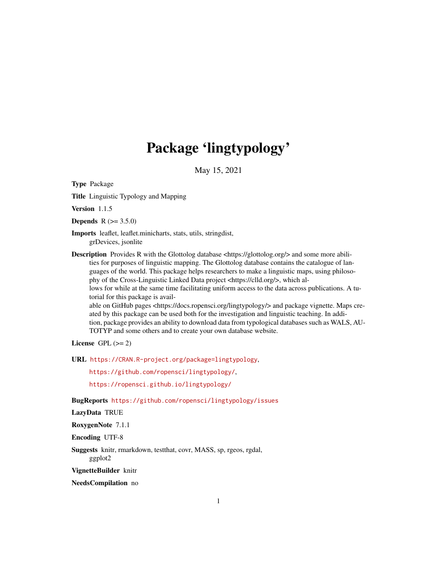# Package 'lingtypology'

May 15, 2021

<span id="page-0-0"></span>Type Package

Title Linguistic Typology and Mapping

Version 1.1.5

**Depends**  $R (= 3.5.0)$ 

Imports leaflet, leaflet.minicharts, stats, utils, stringdist, grDevices, jsonlite

Description Provides R with the Glottolog database <https://glottolog.org/> and some more abilities for purposes of linguistic mapping. The Glottolog database contains the catalogue of languages of the world. This package helps researchers to make a linguistic maps, using philosophy of the Cross-Linguistic Linked Data project <https://clld.org/>, which allows for while at the same time facilitating uniform access to the data across publications. A tu-

torial for this package is avail-

able on GitHub pages <https://docs.ropensci.org/lingtypology/> and package vignette. Maps created by this package can be used both for the investigation and linguistic teaching. In addition, package provides an ability to download data from typological databases such as WALS, AU-TOTYP and some others and to create your own database website.

License GPL  $(>= 2)$ 

URL <https://CRAN.R-project.org/package=lingtypology>,

<https://github.com/ropensci/lingtypology/>,

<https://ropensci.github.io/lingtypology/>

BugReports <https://github.com/ropensci/lingtypology/issues>

LazyData TRUE

RoxygenNote 7.1.1

Encoding UTF-8

Suggests knitr, rmarkdown, testthat, covr, MASS, sp, rgeos, rgdal, ggplot2

VignetteBuilder knitr

NeedsCompilation no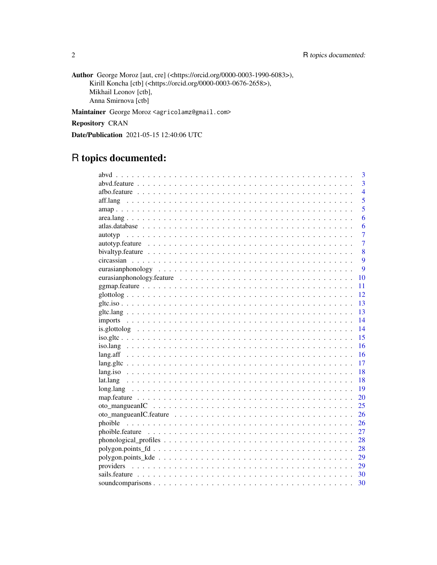Author George Moroz [aut, cre] (<https://orcid.org/0000-0003-1990-6083>), Kirill Koncha [ctb] (<https://orcid.org/0000-0003-0676-2658>), Mikhail Leonov [ctb], Anna Smirnova [ctb]

Maintainer George Moroz <agricolamz@gmail.com>

Repository CRAN

Date/Publication 2021-05-15 12:40:06 UTC

# R topics documented:

| 3                                                                                                              |
|----------------------------------------------------------------------------------------------------------------|
| $\overline{3}$                                                                                                 |
| $\overline{4}$                                                                                                 |
| $\overline{5}$<br>aff.lang                                                                                     |
| $\overline{5}$                                                                                                 |
| 6                                                                                                              |
| 6                                                                                                              |
| $\overline{7}$                                                                                                 |
| $\overline{7}$                                                                                                 |
| 8                                                                                                              |
| 9                                                                                                              |
| 9                                                                                                              |
| eurasianphonology.feature $\ldots \ldots \ldots \ldots \ldots \ldots \ldots \ldots \ldots \ldots \ldots$<br>10 |
| 11                                                                                                             |
| 12                                                                                                             |
| 13                                                                                                             |
| 13                                                                                                             |
| 14                                                                                                             |
| 14                                                                                                             |
| 15                                                                                                             |
| 16                                                                                                             |
| 16                                                                                                             |
| 17                                                                                                             |
| 18                                                                                                             |
| 18                                                                                                             |
| 19                                                                                                             |
| 20                                                                                                             |
| 25                                                                                                             |
| 26                                                                                                             |
| 26                                                                                                             |
| 27                                                                                                             |
| 28                                                                                                             |
| 28                                                                                                             |
| 29                                                                                                             |
| 29                                                                                                             |
| 30                                                                                                             |
| 30                                                                                                             |
|                                                                                                                |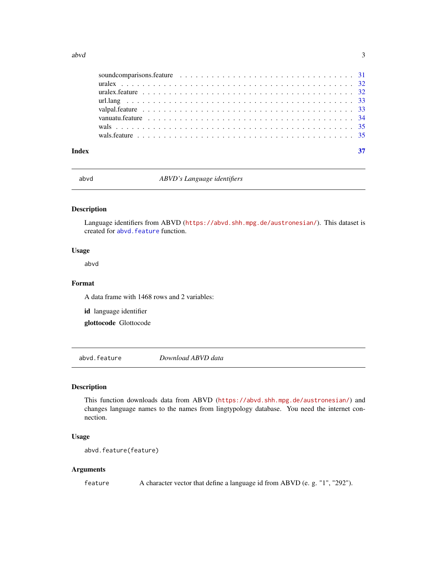#### <span id="page-2-0"></span> $a$ bvd $3$

abvd *ABVD's Language identifiers*

# Description

Language identifiers from ABVD (<https://abvd.shh.mpg.de/austronesian/>). This dataset is created for abvd. feature function.

#### Usage

abvd

#### Format

A data frame with 1468 rows and 2 variables:

id language identifier

glottocode Glottocode

<span id="page-2-1"></span>abvd.feature *Download ABVD data*

#### Description

This function downloads data from ABVD (<https://abvd.shh.mpg.de/austronesian/>) and changes language names to the names from lingtypology database. You need the internet connection.

#### Usage

```
abvd.feature(feature)
```
# Arguments

feature A character vector that define a language id from ABVD (e. g. "1", "292").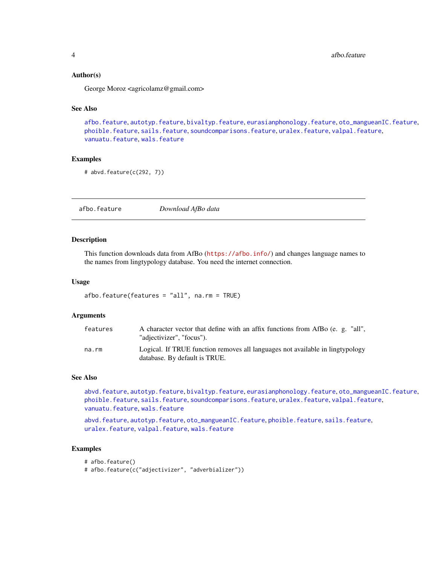<span id="page-3-0"></span>4 afbo.feature and the state of the state of the state of the state of the state of the state of the state of the state of the state of the state of the state of the state of the state of the state of the state of the stat

#### Author(s)

George Moroz <agricolamz@gmail.com>

#### See Also

[afbo.feature](#page-3-1), [autotyp.feature](#page-6-1), [bivaltyp.feature](#page-7-1), [eurasianphonology.feature](#page-9-1), [oto\\_mangueanIC.feature](#page-25-1), [phoible.feature](#page-26-1), [sails.feature](#page-29-1), [soundcomparisons.feature](#page-30-1), [uralex.feature](#page-31-1), [valpal.feature](#page-32-1), [vanuatu.feature](#page-33-1), [wals.feature](#page-34-1)

#### Examples

# abvd.feature(c(292, 7))

<span id="page-3-1"></span>afbo.feature *Download AfBo data*

#### Description

This function downloads data from AfBo (<https://afbo.info/>) and changes language names to the names from lingtypology database. You need the internet connection.

#### Usage

```
afbo.feature(features = "all", na.rm = TRUE)
```
#### Arguments

| features | A character vector that define with an affix functions from AfBo (e. g. "all",<br>"adjectivizer", "focus").    |
|----------|----------------------------------------------------------------------------------------------------------------|
| na.rm    | Logical. If TRUE function removes all languages not available in lingtypology<br>database. By default is TRUE. |

#### See Also

[abvd.feature](#page-2-1), [autotyp.feature](#page-6-1), [bivaltyp.feature](#page-7-1), [eurasianphonology.feature](#page-9-1), [oto\\_mangueanIC.feature](#page-25-1), [phoible.feature](#page-26-1), [sails.feature](#page-29-1), [soundcomparisons.feature](#page-30-1), [uralex.feature](#page-31-1), [valpal.feature](#page-32-1), [vanuatu.feature](#page-33-1), [wals.feature](#page-34-1)

[abvd.feature](#page-2-1), [autotyp.feature](#page-6-1), [oto\\_mangueanIC.feature](#page-25-1), [phoible.feature](#page-26-1), [sails.feature](#page-29-1), [uralex.feature](#page-31-1), [valpal.feature](#page-32-1), [wals.feature](#page-34-1)

#### Examples

```
# afbo.feature()
```
# afbo.feature(c("adjectivizer", "adverbializer"))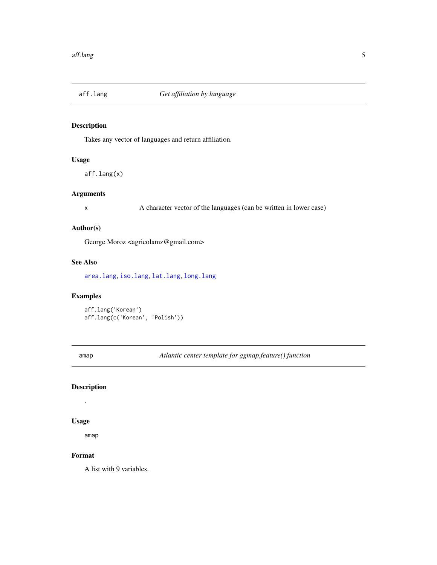<span id="page-4-1"></span><span id="page-4-0"></span>

Takes any vector of languages and return affiliation.

#### Usage

aff.lang(x)

# Arguments

x A character vector of the languages (can be written in lower case)

# Author(s)

George Moroz <agricolamz@gmail.com>

#### See Also

[area.lang](#page-5-1), [iso.lang](#page-15-1), [lat.lang](#page-17-1), [long.lang](#page-18-1)

# Examples

aff.lang('Korean') aff.lang(c('Korean', 'Polish'))

amap *Atlantic center template for ggmap.feature() function*

# Description

.

#### Usage

amap

# Format

A list with 9 variables.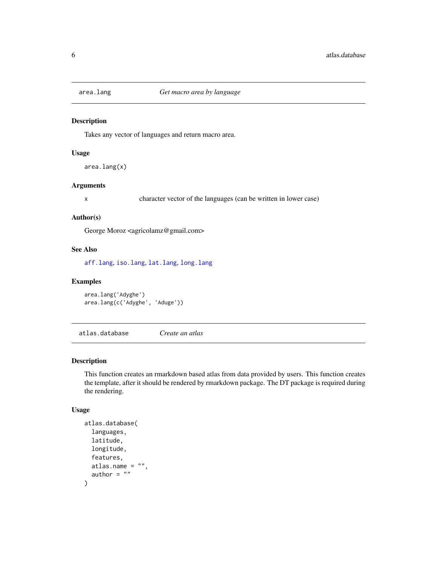<span id="page-5-1"></span><span id="page-5-0"></span>

Takes any vector of languages and return macro area.

#### Usage

area.lang(x)

# Arguments

x character vector of the languages (can be written in lower case)

#### Author(s)

George Moroz <agricolamz@gmail.com>

# See Also

[aff.lang](#page-4-1), [iso.lang](#page-15-1), [lat.lang](#page-17-1), [long.lang](#page-18-1)

# Examples

area.lang('Adyghe') area.lang(c('Adyghe', 'Aduge'))

atlas.database *Create an atlas*

# Description

This function creates an rmarkdown based atlas from data provided by users. This function creates the template, after it should be rendered by rmarkdown package. The DT package is required during the rendering.

#### Usage

```
atlas.database(
 languages,
 latitude,
 longitude,
 features,
 atlas.name = ",
 author = "")
```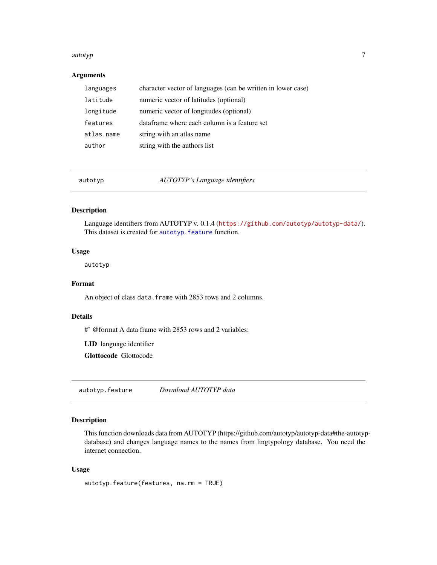#### <span id="page-6-0"></span>autotyp $\overline{7}$

# Arguments

| languages  | character vector of languages (can be written in lower case) |
|------------|--------------------------------------------------------------|
| latitude   | numeric vector of latitudes (optional)                       |
| longitude  | numeric vector of longitudes (optional)                      |
| features   | dataframe where each column is a feature set                 |
| atlas.name | string with an atlas name                                    |
| author     | string with the authors list                                 |

autotyp *AUTOTYP's Language identifiers*

### Description

Language identifiers from AUTOTYP v. 0.1.4 (<https://github.com/autotyp/autotyp-data/>). This dataset is created for [autotyp.feature](#page-6-1) function.

# Usage

autotyp

#### Format

An object of class data. frame with 2853 rows and 2 columns.

#### Details

#' @format A data frame with 2853 rows and 2 variables:

LID language identifier

Glottocode Glottocode

<span id="page-6-1"></span>autotyp.feature *Download AUTOTYP data*

# Description

This function downloads data from AUTOTYP (https://github.com/autotyp/autotyp-data#the-autotypdatabase) and changes language names to the names from lingtypology database. You need the internet connection.

#### Usage

autotyp.feature(features, na.rm = TRUE)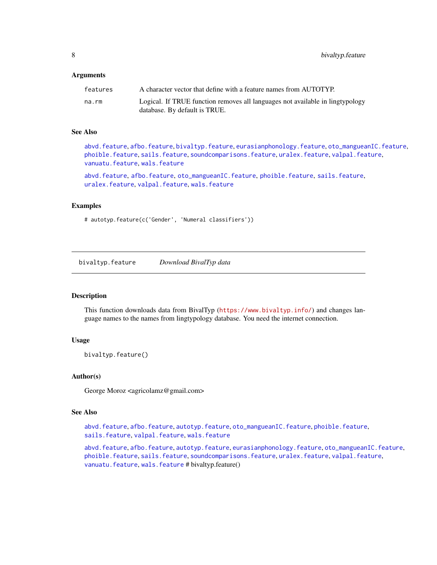<span id="page-7-0"></span>8 bivaltyp.feature

#### **Arguments**

| features | A character vector that define with a feature names from AUTOTYP.                                              |
|----------|----------------------------------------------------------------------------------------------------------------|
| na.rm    | Logical. If TRUE function removes all languages not available in lingtypology<br>database. By default is TRUE. |

#### See Also

[abvd.feature](#page-2-1), [afbo.feature](#page-3-1), [bivaltyp.feature](#page-7-1), [eurasianphonology.feature](#page-9-1), [oto\\_mangueanIC.feature](#page-25-1), [phoible.feature](#page-26-1), [sails.feature](#page-29-1), [soundcomparisons.feature](#page-30-1), [uralex.feature](#page-31-1), [valpal.feature](#page-32-1), [vanuatu.feature](#page-33-1), [wals.feature](#page-34-1)

[abvd.feature](#page-2-1), [afbo.feature](#page-3-1), [oto\\_mangueanIC.feature](#page-25-1), [phoible.feature](#page-26-1), [sails.feature](#page-29-1), [uralex.feature](#page-31-1), [valpal.feature](#page-32-1), [wals.feature](#page-34-1)

#### Examples

# autotyp.feature(c('Gender', 'Numeral classifiers'))

<span id="page-7-1"></span>bivaltyp.feature *Download BivalTyp data*

#### Description

This function downloads data from BivalTyp (<https://www.bivaltyp.info/>) and changes language names to the names from lingtypology database. You need the internet connection.

#### Usage

bivaltyp.feature()

#### Author(s)

George Moroz <agricolamz@gmail.com>

#### See Also

[abvd.feature](#page-2-1), [afbo.feature](#page-3-1), [autotyp.feature](#page-6-1), [oto\\_mangueanIC.feature](#page-25-1), [phoible.feature](#page-26-1), [sails.feature](#page-29-1), [valpal.feature](#page-32-1), [wals.feature](#page-34-1)

[abvd.feature](#page-2-1), [afbo.feature](#page-3-1), [autotyp.feature](#page-6-1), [eurasianphonology.feature](#page-9-1), [oto\\_mangueanIC.feature](#page-25-1), [phoible.feature](#page-26-1), [sails.feature](#page-29-1), [soundcomparisons.feature](#page-30-1), [uralex.feature](#page-31-1), [valpal.feature](#page-32-1), [vanuatu.feature](#page-33-1), [wals.feature](#page-34-1) # bivaltyp.feature()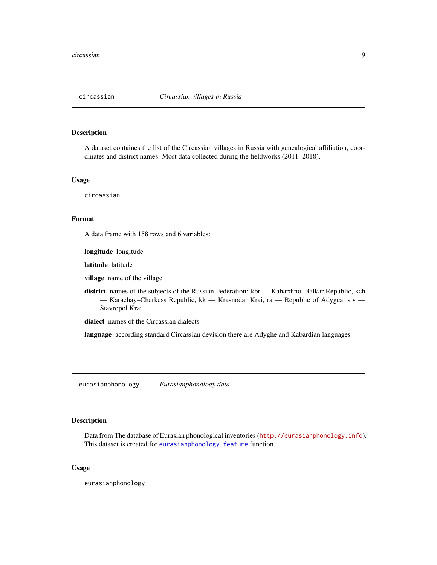<span id="page-8-0"></span>

A dataset containes the list of the Circassian villages in Russia with genealogical affiliation, coordinates and district names. Most data collected during the fieldworks (2011–2018).

#### Usage

circassian

## Format

A data frame with 158 rows and 6 variables:

longitude longitude

latitude latitude

village name of the village

district names of the subjects of the Russian Federation: kbr — Kabardino–Balkar Republic, kch — Karachay–Cherkess Republic, kk — Krasnodar Krai, ra — Republic of Adygea, stv — Stavropol Krai

dialect names of the Circassian dialects

language according standard Circassian devision there are Adyghe and Kabardian languages

eurasianphonology *Eurasianphonology data*

#### Description

Data from The database of Eurasian phonological inventories (<http://eurasianphonology.info>). This dataset is created for [eurasianphonology.feature](#page-9-1) function.

#### Usage

eurasianphonology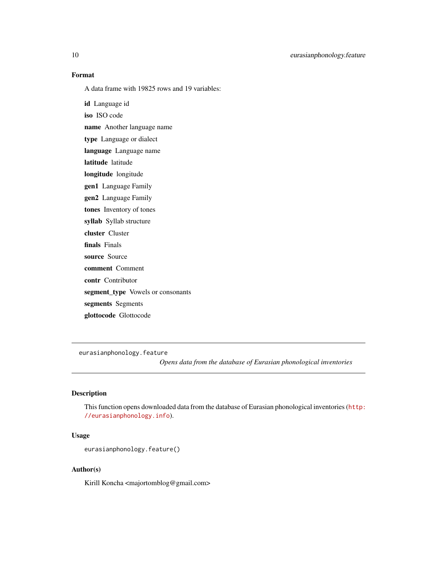#### Format

A data frame with 19825 rows and 19 variables:

id Language id iso ISO code name Another language name type Language or dialect language Language name latitude latitude longitude longitude gen1 Language Family gen2 Language Family tones Inventory of tones syllab Syllab structure cluster Cluster finals Finals source Source comment Comment contr Contributor segment\_type Vowels or consonants segments Segments glottocode Glottocode

<span id="page-9-1"></span>eurasianphonology.feature *Opens data from the database of Eurasian phonological inventories*

# Description

This function opens downloaded data from the database of Eurasian phonological inventories ([http:](http://eurasianphonology.info) [//eurasianphonology.info](http://eurasianphonology.info)).

# Usage

```
eurasianphonology.feature()
```
# Author(s)

Kirill Koncha <majortomblog@gmail.com>

<span id="page-9-0"></span>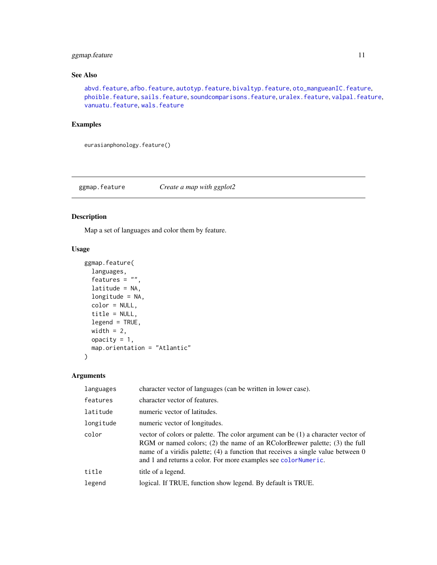# <span id="page-10-0"></span>ggmap.feature 11

# See Also

[abvd.feature](#page-2-1), [afbo.feature](#page-3-1), [autotyp.feature](#page-6-1), [bivaltyp.feature](#page-7-1), [oto\\_mangueanIC.feature](#page-25-1), [phoible.feature](#page-26-1), [sails.feature](#page-29-1), [soundcomparisons.feature](#page-30-1), [uralex.feature](#page-31-1), [valpal.feature](#page-32-1), [vanuatu.feature](#page-33-1), [wals.feature](#page-34-1)

#### Examples

eurasianphonology.feature()

ggmap.feature *Create a map with ggplot2*

# Description

Map a set of languages and color them by feature.

# Usage

```
ggmap.feature(
  languages,
  features = ",
  latitude = NA,
  longitude = NA,
  color = NULL,
  title = NULL,
  legend = TRUE,
 width = 2,
 opacity = 1,
  map.orientation = "Atlantic"
)
```
# Arguments

| languages | character vector of languages (can be written in lower case).                                                                                                                                                                                                                                                          |
|-----------|------------------------------------------------------------------------------------------------------------------------------------------------------------------------------------------------------------------------------------------------------------------------------------------------------------------------|
| features  | character vector of features.                                                                                                                                                                                                                                                                                          |
| latitude  | numeric vector of latitudes.                                                                                                                                                                                                                                                                                           |
| longitude | numeric vector of longitudes.                                                                                                                                                                                                                                                                                          |
| color     | vector of colors or palette. The color argument can be $(1)$ a character vector of<br>RGM or named colors; (2) the name of an RColorBrewer palette; (3) the full<br>name of a viridis palette; (4) a function that receives a single value between 0<br>and 1 and returns a color. For more examples see colorNumeric. |
| title     | title of a legend.                                                                                                                                                                                                                                                                                                     |
| legend    | logical. If TRUE, function show legend. By default is TRUE.                                                                                                                                                                                                                                                            |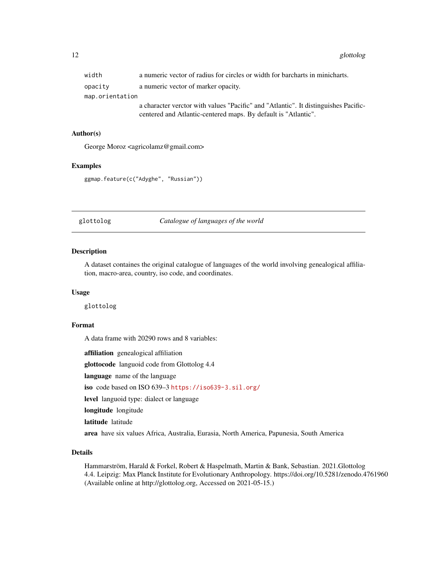<span id="page-11-0"></span>

| width           | a numeric vector of radius for circles or width for barcharts in minicharts.        |
|-----------------|-------------------------------------------------------------------------------------|
| opacity         | a numeric vector of marker opacity.                                                 |
| map.orientation |                                                                                     |
|                 | a character verctor with values "Pacific" and "Atlantic". It distinguishes Pacific- |
|                 | centered and Atlantic-centered maps. By default is "Atlantic".                      |

# Author(s)

George Moroz <agricolamz@gmail.com>

#### Examples

ggmap.feature(c("Adyghe", "Russian"))

glottolog *Catalogue of languages of the world*

#### Description

A dataset containes the original catalogue of languages of the world involving genealogical affiliation, macro-area, country, iso code, and coordinates.

# Usage

glottolog

## Format

A data frame with 20290 rows and 8 variables:

affiliation genealogical affiliation

glottocode languoid code from Glottolog 4.4

language name of the language

iso code based on ISO 639–3 <https://iso639-3.sil.org/>

level languoid type: dialect or language

longitude longitude

latitude latitude

area have six values Africa, Australia, Eurasia, North America, Papunesia, South America

# Details

Hammarström, Harald & Forkel, Robert & Haspelmath, Martin & Bank, Sebastian. 2021.Glottolog 4.4. Leipzig: Max Planck Institute for Evolutionary Anthropology. https://doi.org/10.5281/zenodo.4761960 (Available online at http://glottolog.org, Accessed on 2021-05-15.)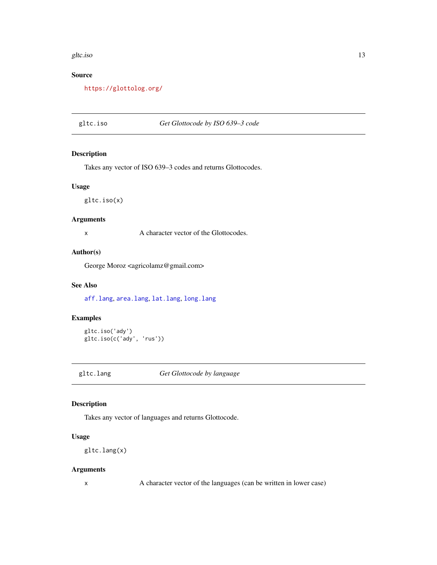#### <span id="page-12-0"></span>gltc.iso and the state of the state of the state of the state of the state of the state of the state of the state of the state of the state of the state of the state of the state of the state of the state of the state of t

# Source

<https://glottolog.org/>

# gltc.iso *Get Glottocode by ISO 639–3 code*

#### Description

Takes any vector of ISO 639–3 codes and returns Glottocodes.

# Usage

gltc.iso(x)

# Arguments

x A character vector of the Glottocodes.

#### Author(s)

George Moroz <agricolamz@gmail.com>

# See Also

[aff.lang](#page-4-1), [area.lang](#page-5-1), [lat.lang](#page-17-1), [long.lang](#page-18-1)

# Examples

gltc.iso('ady') gltc.iso(c('ady', 'rus'))

gltc.lang *Get Glottocode by language*

# Description

Takes any vector of languages and returns Glottocode.

# Usage

gltc.lang(x)

# Arguments

x A character vector of the languages (can be written in lower case)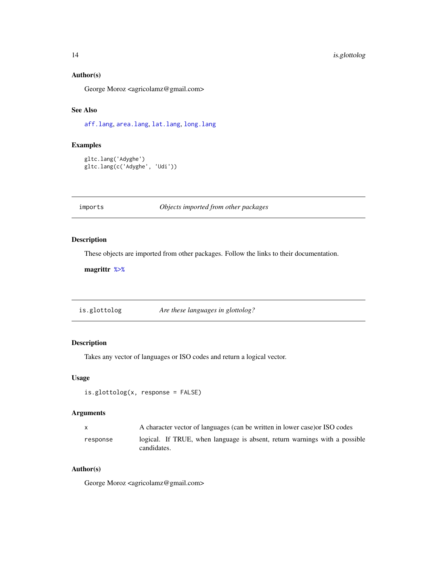# <span id="page-13-0"></span>Author(s)

George Moroz <agricolamz@gmail.com>

# See Also

[aff.lang](#page-4-1), [area.lang](#page-5-1), [lat.lang](#page-17-1), [long.lang](#page-18-1)

# Examples

```
gltc.lang('Adyghe')
gltc.lang(c('Adyghe', 'Udi'))
```
imports *Objects imported from other packages*

#### <span id="page-13-1"></span>Description

These objects are imported from other packages. Follow the links to their documentation.

magrittr [%>%](#page-13-1)

is.glottolog *Are these languages in glottolog?*

## Description

Takes any vector of languages or ISO codes and return a logical vector.

#### Usage

```
is.glottolog(x, response = FALSE)
```
#### Arguments

| $\mathbf{x}$ | A character vector of languages (can be written in lower case) or ISO codes               |
|--------------|-------------------------------------------------------------------------------------------|
| response     | logical. If TRUE, when language is absent, return warnings with a possible<br>candidates. |

# Author(s)

George Moroz <agricolamz@gmail.com>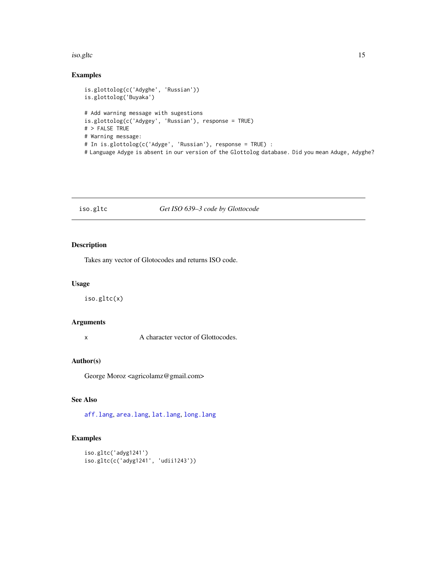#### <span id="page-14-0"></span>iso.gltc 15

# Examples

```
is.glottolog(c('Adyghe', 'Russian'))
is.glottolog('Buyaka')
# Add warning message with sugestions
is.glottolog(c('Adygey', 'Russian'), response = TRUE)
# > FALSE TRUE
# Warning message:
# In is.glottolog(c('Adyge', 'Russian'), response = TRUE) :
# Language Adyge is absent in our version of the Glottolog database. Did you mean Aduge, Adyghe?
```
#### iso.gltc *Get ISO 639–3 code by Glottocode*

#### Description

Takes any vector of Glotocodes and returns ISO code.

#### Usage

iso.gltc(x)

#### Arguments

x A character vector of Glottocodes.

# Author(s)

George Moroz <agricolamz@gmail.com>

# See Also

[aff.lang](#page-4-1), [area.lang](#page-5-1), [lat.lang](#page-17-1), [long.lang](#page-18-1)

# Examples

```
iso.gltc('adyg1241')
iso.gltc(c('adyg1241', 'udii1243'))
```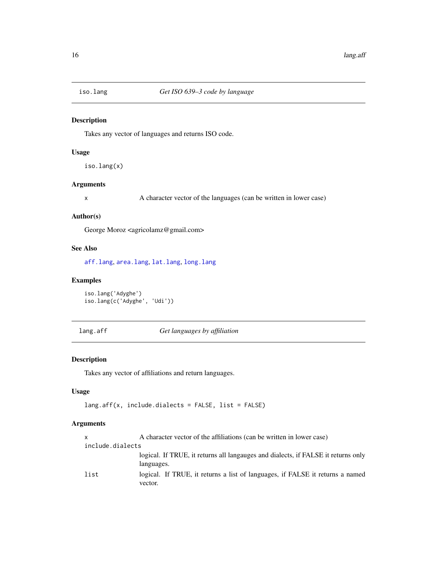<span id="page-15-1"></span><span id="page-15-0"></span>

Takes any vector of languages and returns ISO code.

#### Usage

iso.lang(x)

# Arguments

x A character vector of the languages (can be written in lower case)

#### Author(s)

George Moroz <agricolamz@gmail.com>

# See Also

[aff.lang](#page-4-1), [area.lang](#page-5-1), [lat.lang](#page-17-1), [long.lang](#page-18-1)

# Examples

```
iso.lang('Adyghe')
iso.lang(c('Adyghe', 'Udi'))
```
<span id="page-15-2"></span>lang.aff *Get languages by affiliation*

# Description

Takes any vector of affiliations and return languages.

#### Usage

```
lang.aff(x, include.dialects = FALSE, list = FALSE)
```
# Arguments

| X                | A character vector of the affiliations (can be written in lower case)                           |
|------------------|-------------------------------------------------------------------------------------------------|
| include.dialects |                                                                                                 |
|                  | logical. If TRUE, it returns all languages and dialects, if FALSE it returns only<br>languages. |
| list             | logical. If TRUE, it returns a list of languages, if FALSE it returns a named<br>vector.        |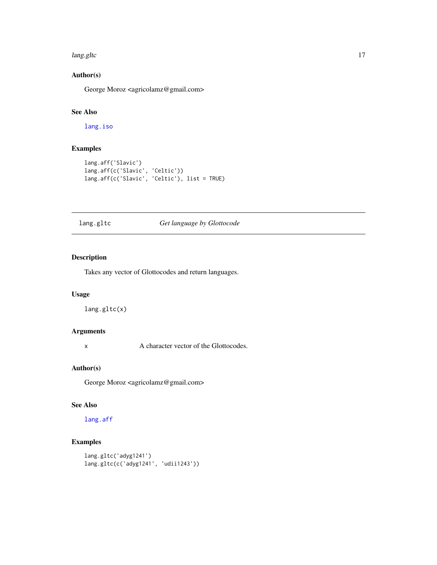#### <span id="page-16-0"></span>lang.gltc 17

# Author(s)

George Moroz <agricolamz@gmail.com>

# See Also

[lang.iso](#page-17-2)

# Examples

```
lang.aff('Slavic')
lang.aff(c('Slavic', 'Celtic'))
lang.aff(c('Slavic', 'Celtic'), list = TRUE)
```
# lang.gltc *Get language by Glottocode*

# Description

Takes any vector of Glottocodes and return languages.

# Usage

lang.gltc(x)

#### Arguments

x A character vector of the Glottocodes.

#### Author(s)

George Moroz <agricolamz@gmail.com>

# See Also

[lang.aff](#page-15-2)

# Examples

```
lang.gltc('adyg1241')
lang.gltc(c('adyg1241', 'udii1243'))
```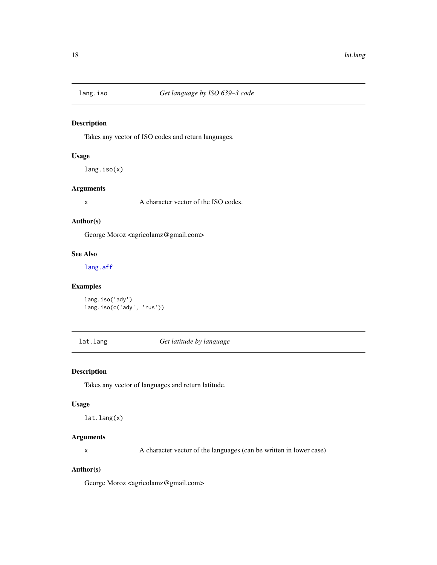<span id="page-17-2"></span><span id="page-17-0"></span>

Takes any vector of ISO codes and return languages.

# Usage

lang.iso(x)

#### Arguments

x A character vector of the ISO codes.

#### Author(s)

George Moroz <agricolamz@gmail.com>

# See Also

[lang.aff](#page-15-2)

# Examples

```
lang.iso('ady')
lang.iso(c('ady', 'rus'))
```
<span id="page-17-1"></span>lat.lang *Get latitude by language*

# Description

Takes any vector of languages and return latitude.

#### Usage

lat.lang(x)

# Arguments

x A character vector of the languages (can be written in lower case)

#### Author(s)

George Moroz <agricolamz@gmail.com>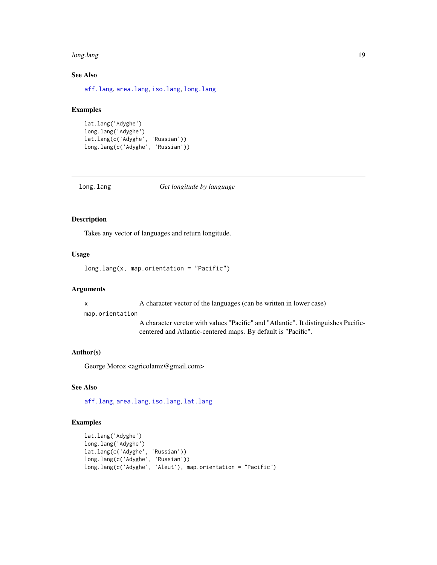#### <span id="page-18-0"></span>long.lang the contract of the contract of the contract of the contract of the contract of the contract of the contract of the contract of the contract of the contract of the contract of the contract of the contract of the

# See Also

[aff.lang](#page-4-1), [area.lang](#page-5-1), [iso.lang](#page-15-1), [long.lang](#page-18-1)

#### Examples

```
lat.lang('Adyghe')
long.lang('Adyghe')
lat.lang(c('Adyghe', 'Russian'))
long.lang(c('Adyghe', 'Russian'))
```
<span id="page-18-1"></span>

long.lang *Get longitude by language*

# Description

Takes any vector of languages and return longitude.

#### Usage

```
long.lang(x, map.orientation = "Pacific")
```
#### Arguments

x A character vector of the languages (can be written in lower case)

#### map.orientation

A character verctor with values "Pacific" and "Atlantic". It distinguishes Pacificcentered and Atlantic-centered maps. By default is "Pacific".

# Author(s)

George Moroz <agricolamz@gmail.com>

#### See Also

[aff.lang](#page-4-1), [area.lang](#page-5-1), [iso.lang](#page-15-1), [lat.lang](#page-17-1)

#### Examples

```
lat.lang('Adyghe')
long.lang('Adyghe')
lat.lang(c('Adyghe', 'Russian'))
long.lang(c('Adyghe', 'Russian'))
long.lang(c('Adyghe', 'Aleut'), map.orientation = "Pacific")
```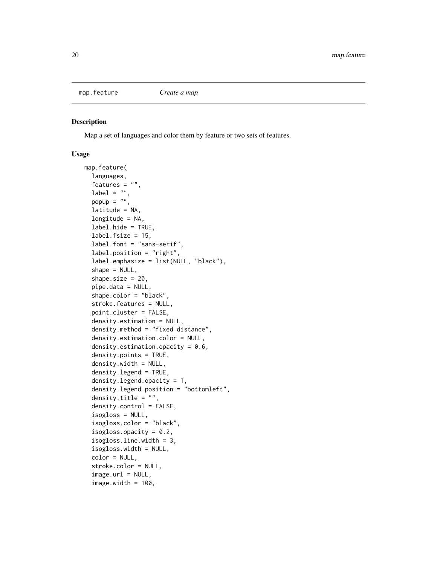<span id="page-19-0"></span>

Map a set of languages and color them by feature or two sets of features.

#### Usage

```
map.feature(
  languages,
  features = ",
  label = "popup = ",
  latitude = NA,
  longitude = NA,label.hide = TRUE,
  label.fsize = 15,label.font = "sans-serif",
  label.position = "right",
  label.emphasize = list(NULL, "black"),
  shape = NULL,
  shape.size = 20,
  pipe.data = NULL,
  shape.color = "black",
  stroke.features = NULL,
  point.cluster = FALSE,
  density.estimation = NULL,
  density.method = "fixed distance",
  density.estimation.color = NULL,
  density.estimation.opacity = 0.6,
  density.points = TRUE,
  density.width = NULL,
  density.legend = TRUE,
  density.legend.opacity = 1,
  density.legend.position = "bottomleft",
  density.title = "",
  density.control = FALSE,
  isogloss = NULL,
  isogloss.color = "black",
  isogloss.opacity = 0.2,
  isogloss.line.width = 3,
  isogloss.width = NULL,
  color = NULL,
  stroke.color = NULL,
  image.ur1 = NULL,image.width = 100,
```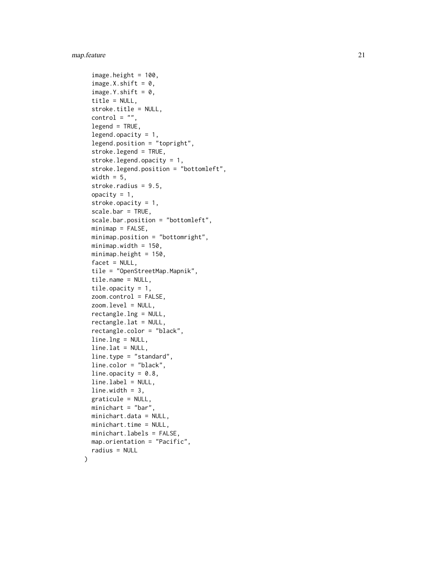# map.feature 21

)

```
image. height = 100,image.X.shift = 0,image.Y.shift = <math>0</math>,title = NULL,
stroke.title = NULL,
control = "",legend = TRUE,legend.opacity = 1,
legend.position = "topright",
stroke.legend = TRUE,
stroke.legend.opacity = 1,
stroke.legend.position = "bottomleft",
width = 5,
stroke.radius = 9.5,
opacity = 1,
stroke.opacity = 1,
scale.bar = TRUE,
scale.bar.position = "bottomleft",
minimap = FALSE,
minimap.position = "bottomright",
minimap.width = 150,
minimap.height = 150,
facet = NULL,tile = "OpenStreetMap.Mapnik",
tile.name = NULL,
tile.opacity = 1,
zoom.control = FALSE,
zoom.level = NULL,
rectangle.lng = NULL,
rectangle.lat = NULL,
rectangle.color = "black",
line.lng = NULL,
line.lat = NULL,line.type = "standard",
line.color = "black",
line.opacity = 0.8,
line. label = NULL,
line.width = 3,
graticule = NULL,
minichart = "bar",
minichart.data = NULL,
minichart.time = NULL,
minichart.labels = FALSE,
map.orientation = "Pacific",
radius = NULL
```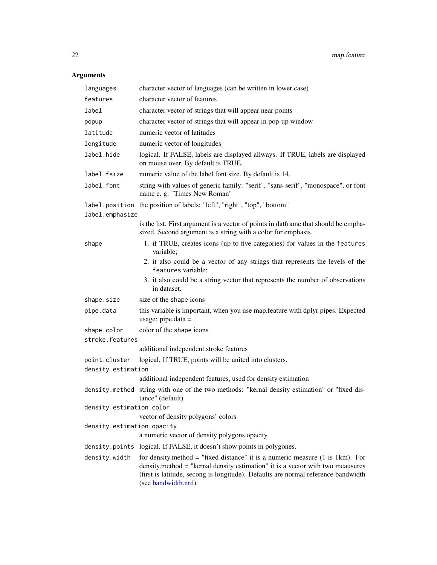# <span id="page-21-0"></span>Arguments

| languages                  | character vector of languages (can be written in lower case)                                                                                                                                                                                                                                      |
|----------------------------|---------------------------------------------------------------------------------------------------------------------------------------------------------------------------------------------------------------------------------------------------------------------------------------------------|
| features                   | character vector of features                                                                                                                                                                                                                                                                      |
| label                      | character vector of strings that will appear near points                                                                                                                                                                                                                                          |
| popup                      | character vector of strings that will appear in pop-up window                                                                                                                                                                                                                                     |
| latitude                   | numeric vector of latitudes                                                                                                                                                                                                                                                                       |
| longitude                  | numeric vector of longitudes                                                                                                                                                                                                                                                                      |
| label.hide                 | logical. If FALSE, labels are displayed allways. If TRUE, labels are displayed<br>on mouse over. By default is TRUE.                                                                                                                                                                              |
| label.fsize                | numeric value of the label font size. By default is 14.                                                                                                                                                                                                                                           |
| label.font                 | string with values of generic family: "serif", "sans-serif", "monospace", or font<br>name e. g. "Times New Roman"                                                                                                                                                                                 |
|                            | label.position the position of labels: "left", "right", "top", "bottom"                                                                                                                                                                                                                           |
| label.emphasize            |                                                                                                                                                                                                                                                                                                   |
|                            | is the list. First argument is a vector of points in datframe that should be empha-<br>sized. Second argument is a string with a color for emphasis.                                                                                                                                              |
| shape                      | 1. if TRUE, creates icons (up to five categories) for values in the features<br>variable;                                                                                                                                                                                                         |
|                            | 2. it also could be a vector of any strings that represents the levels of the<br>features variable;                                                                                                                                                                                               |
|                            | 3. it also could be a string vector that represents the number of observations<br>in dataset.                                                                                                                                                                                                     |
| shape.size                 | size of the shape icons                                                                                                                                                                                                                                                                           |
| pipe.data                  | this variable is important, when you use map. feature with dplyr pipes. Expected<br>usage: pipe.data = .                                                                                                                                                                                          |
| shape.color                | color of the shape icons                                                                                                                                                                                                                                                                          |
| stroke.features            |                                                                                                                                                                                                                                                                                                   |
|                            | additional independent stroke features                                                                                                                                                                                                                                                            |
| point.cluster              | logical. If TRUE, points will be united into clusters.                                                                                                                                                                                                                                            |
| density.estimation         |                                                                                                                                                                                                                                                                                                   |
|                            | additional independent features, used for density estimation                                                                                                                                                                                                                                      |
| density.method             | string with one of the two methods: "kernal density estimation" or "fixed dis-<br>tance" (default)                                                                                                                                                                                                |
| density.estimation.color   |                                                                                                                                                                                                                                                                                                   |
|                            | vector of density polygons' colors                                                                                                                                                                                                                                                                |
| density.estimation.opacity | a numeric vector of density polygons opacity.                                                                                                                                                                                                                                                     |
|                            |                                                                                                                                                                                                                                                                                                   |
|                            | density. points logical. If FALSE, it doesn't show points in polygones.                                                                                                                                                                                                                           |
| density.width              | for density method = "fixed distance" it is a numeric measure $(1 \text{ is } 1 \text{ km})$ . For<br>density.method = "kernal density estimation" it is a vector with two meausures<br>(first is latitude, secong is longitude). Defaults are normal reference bandwidth<br>(see bandwidth.nrd). |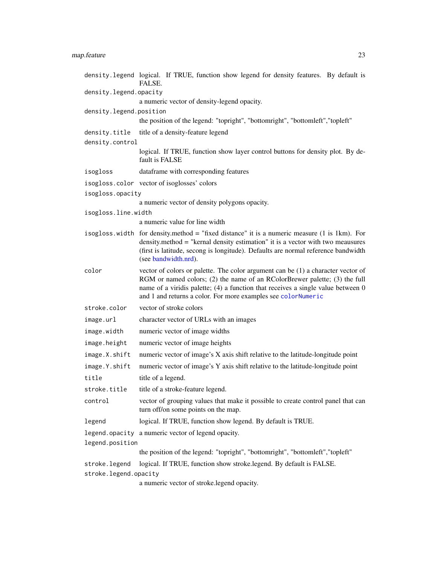# <span id="page-22-0"></span>map.feature 23

|                         | density.legend logical. If TRUE, function show legend for density features. By default is<br>FALSE.                                                                                                                                                                                                                 |
|-------------------------|---------------------------------------------------------------------------------------------------------------------------------------------------------------------------------------------------------------------------------------------------------------------------------------------------------------------|
| density.legend.opacity  |                                                                                                                                                                                                                                                                                                                     |
|                         | a numeric vector of density-legend opacity.                                                                                                                                                                                                                                                                         |
| density.legend.position |                                                                                                                                                                                                                                                                                                                     |
|                         | the position of the legend: "topright", "bottomright", "bottomleft", "topleft"                                                                                                                                                                                                                                      |
| density.title           | title of a density-feature legend                                                                                                                                                                                                                                                                                   |
| density.control         |                                                                                                                                                                                                                                                                                                                     |
|                         | logical. If TRUE, function show layer control buttons for density plot. By de-<br>fault is FALSE                                                                                                                                                                                                                    |
| isogloss                | dataframe with corresponding features                                                                                                                                                                                                                                                                               |
|                         | isogloss.color vector of isoglosses' colors                                                                                                                                                                                                                                                                         |
| isogloss.opacity        |                                                                                                                                                                                                                                                                                                                     |
|                         | a numeric vector of density polygons opacity.                                                                                                                                                                                                                                                                       |
| isogloss.line.width     |                                                                                                                                                                                                                                                                                                                     |
|                         | a numeric value for line width                                                                                                                                                                                                                                                                                      |
|                         | isogloss width for density method = "fixed distance" it is a numeric measure (1 is 1km). For<br>density.method = "kernal density estimation" it is a vector with two meausures<br>(first is latitude, secong is longitude). Defaults are normal reference bandwidth<br>(see bandwidth.nrd).                         |
| color                   | vector of colors or palette. The color argument can be (1) a character vector of<br>RGM or named colors; (2) the name of an RColorBrewer palette; (3) the full<br>name of a viridis palette; (4) a function that receives a single value between 0<br>and 1 and returns a color. For more examples see colorNumeric |
| stroke.color            | vector of stroke colors                                                                                                                                                                                                                                                                                             |
| image.url               | character vector of URLs with an images                                                                                                                                                                                                                                                                             |
| image.width             | numeric vector of image widths                                                                                                                                                                                                                                                                                      |
| image.height            | numeric vector of image heights                                                                                                                                                                                                                                                                                     |
| image.X.shift           | numeric vector of image's X axis shift relative to the latitude-longitude point                                                                                                                                                                                                                                     |
| image.Y.shift           | numeric vector of image's Y axis shift relative to the latitude-longitude point                                                                                                                                                                                                                                     |
| title                   | title of a legend.                                                                                                                                                                                                                                                                                                  |
| stroke.title            | title of a stroke-feature legend.                                                                                                                                                                                                                                                                                   |
| control                 | vector of grouping values that make it possible to create control panel that can<br>turn off/on some points on the map.                                                                                                                                                                                             |
| legend                  | logical. If TRUE, function show legend. By default is TRUE.                                                                                                                                                                                                                                                         |
|                         | legend. opacity a numeric vector of legend opacity.                                                                                                                                                                                                                                                                 |
| legend.position         |                                                                                                                                                                                                                                                                                                                     |
|                         | the position of the legend: "topright", "bottomright", "bottomleft", "topleft"                                                                                                                                                                                                                                      |
| stroke.legend           | logical. If TRUE, function show stroke.legend. By default is FALSE.                                                                                                                                                                                                                                                 |
| stroke.legend.opacity   |                                                                                                                                                                                                                                                                                                                     |

a numeric vector of stroke.legend opacity.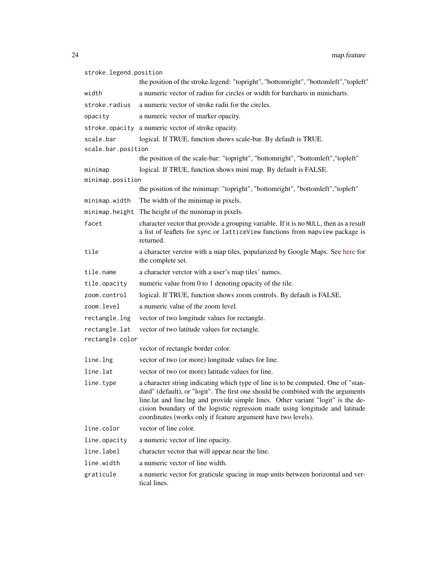| stroke.legend.position |                                                                                                                                                                                                                                                                                                                                                                                                            |
|------------------------|------------------------------------------------------------------------------------------------------------------------------------------------------------------------------------------------------------------------------------------------------------------------------------------------------------------------------------------------------------------------------------------------------------|
|                        | the position of the stroke.legend: "topright", "bottomright", "bottomleft","topleft"                                                                                                                                                                                                                                                                                                                       |
| width                  | a numeric vector of radius for circles or width for barcharts in minicharts.                                                                                                                                                                                                                                                                                                                               |
| stroke.radius          | a numeric vector of stroke radii for the circles.                                                                                                                                                                                                                                                                                                                                                          |
| opacity                | a numeric vector of marker opacity.                                                                                                                                                                                                                                                                                                                                                                        |
|                        | stroke.opacity a numeric vector of stroke opacity.                                                                                                                                                                                                                                                                                                                                                         |
| scale.bar              | logical. If TRUE, function shows scale-bar. By default is TRUE.                                                                                                                                                                                                                                                                                                                                            |
| scale.bar.position     |                                                                                                                                                                                                                                                                                                                                                                                                            |
|                        | the position of the scale-bar: "topright", "bottomright", "bottomleft", "topleft"                                                                                                                                                                                                                                                                                                                          |
| minimap                | logical. If TRUE, function shows mini map. By default is FALSE.                                                                                                                                                                                                                                                                                                                                            |
| minimap.position       |                                                                                                                                                                                                                                                                                                                                                                                                            |
|                        | the position of the minimap: "topright", "bottomright", "bottomleft", "topleft"                                                                                                                                                                                                                                                                                                                            |
| minimap.width          | The width of the minimap in pixels.                                                                                                                                                                                                                                                                                                                                                                        |
| minimap.height         | The height of the minimap in pixels.                                                                                                                                                                                                                                                                                                                                                                       |
| facet                  | character vector that provide a grouping variable. If it is no NULL, then as a result<br>a list of leaflets for sync or latticeView functions from mapview package is<br>returned.                                                                                                                                                                                                                         |
| tile                   | a character verctor with a map tiles, popularized by Google Maps. See here for<br>the complete set.                                                                                                                                                                                                                                                                                                        |
| tile.name              | a character verctor with a user's map tiles' names.                                                                                                                                                                                                                                                                                                                                                        |
| tile.opacity           | numeric value from 0 to 1 denoting opacity of the tile.                                                                                                                                                                                                                                                                                                                                                    |
| zoom.control           | logical. If TRUE, function shows zoom controls. By default is FALSE.                                                                                                                                                                                                                                                                                                                                       |
| zoom.level             | a numeric value of the zoom level.                                                                                                                                                                                                                                                                                                                                                                         |
| rectangle.lng          | vector of two longitude values for rectangle.                                                                                                                                                                                                                                                                                                                                                              |
| rectangle.lat          | vector of two latitude values for rectangle.                                                                                                                                                                                                                                                                                                                                                               |
| rectangle.color        |                                                                                                                                                                                                                                                                                                                                                                                                            |
|                        | vector of rectangle border color.                                                                                                                                                                                                                                                                                                                                                                          |
| line.lng               | vector of two (or more) longitude values for line.                                                                                                                                                                                                                                                                                                                                                         |
| line.lat               | vector of two (or more) latitude values for line.                                                                                                                                                                                                                                                                                                                                                          |
| line.type              | a character string indicating which type of line is to be computed. One of "stan-<br>dard" (default), or "logit". The first one should be combined with the arguments<br>line.lat and line.lng and provide simple lines. Other variant "logit" is the de-<br>cision boundary of the logistic regression made using longitude and latitude<br>coordinates (works only if feature argument have two levels). |
| line.color             | vector of line color.                                                                                                                                                                                                                                                                                                                                                                                      |
| line.opacity           | a numeric vector of line opacity.                                                                                                                                                                                                                                                                                                                                                                          |
| line.label             | character vector that will appear near the line.                                                                                                                                                                                                                                                                                                                                                           |
| line.width             | a numeric vector of line width.                                                                                                                                                                                                                                                                                                                                                                            |
| graticule              | a numeric vector for graticule spacing in map units between horizontal and ver-<br>tical lines.                                                                                                                                                                                                                                                                                                            |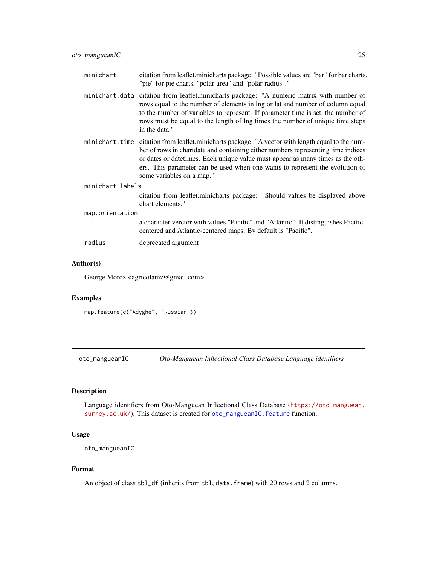<span id="page-24-0"></span>

| minichart        | citation from leaflet.minicharts package: "Possible values are "bar" for bar charts,<br>"pie" for pie charts, "polar-area" and "polar-radius"."                                                                                                                                                                                                                                       |
|------------------|---------------------------------------------------------------------------------------------------------------------------------------------------------------------------------------------------------------------------------------------------------------------------------------------------------------------------------------------------------------------------------------|
| minichart.data   | citation from leaflet.minicharts package: "A numeric matrix with number of<br>rows equal to the number of elements in lng or lat and number of column equal<br>to the number of variables to represent. If parameter time is set, the number of<br>rows must be equal to the length of lng times the number of unique time steps<br>in the data."                                     |
|                  | minichart. time citation from leaflet minicharts package: "A vector with length equal to the num-<br>ber of rows in chartdata and containing either numbers representing time indices<br>or dates or date times. Each unique value must appear as many times as the oth-<br>ers. This parameter can be used when one wants to represent the evolution of<br>some variables on a map." |
| minichart.labels |                                                                                                                                                                                                                                                                                                                                                                                       |
|                  | citation from leaflet.minicharts package: "Should values be displayed above<br>chart elements."                                                                                                                                                                                                                                                                                       |
| map.orientation  |                                                                                                                                                                                                                                                                                                                                                                                       |
|                  | a character verctor with values "Pacific" and "Atlantic". It distinguishes Pacific-<br>centered and Atlantic-centered maps. By default is "Pacific".                                                                                                                                                                                                                                  |
| radius           | deprecated argument                                                                                                                                                                                                                                                                                                                                                                   |

#### Author(s)

George Moroz <agricolamz@gmail.com>

### Examples

map.feature(c("Adyghe", "Russian"))

oto\_mangueanIC *Oto-Manguean Inflectional Class Database Language identifiers*

# Description

Language identifiers from Oto-Manguean Inflectional Class Database ([https://oto-manguean.](https://oto-manguean.surrey.ac.uk/) [surrey.ac.uk/](https://oto-manguean.surrey.ac.uk/)). This dataset is created for [oto\\_mangueanIC.feature](#page-25-1) function.

#### Usage

```
oto_mangueanIC
```
# Format

An object of class tbl\_df (inherits from tbl, data.frame) with 20 rows and 2 columns.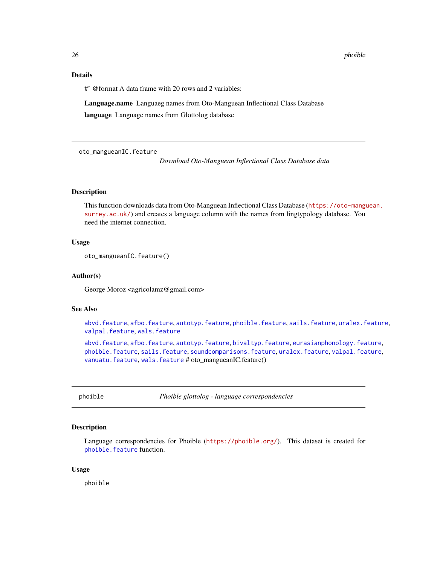<span id="page-25-0"></span>26 phoible to the contract of the contract of the contract of the contract of the contract of the contract of the contract of the contract of the contract of the contract of the contract of the contract of the contract of

#### Details

#' @format A data frame with 20 rows and 2 variables:

Language.name Languaeg names from Oto-Manguean Inflectional Class Database

language Language names from Glottolog database

<span id="page-25-1"></span>oto\_mangueanIC.feature

*Download Oto-Manguean Inflectional Class Database data*

# Description

This function downloads data from Oto-Manguean Inflectional Class Database ([https://oto-mangu](https://oto-manguean.surrey.ac.uk/)ean. [surrey.ac.uk/](https://oto-manguean.surrey.ac.uk/)) and creates a language column with the names from lingtypology database. You need the internet connection.

#### Usage

```
oto_mangueanIC.feature()
```
#### Author(s)

George Moroz <agricolamz@gmail.com>

#### See Also

[abvd.feature](#page-2-1), [afbo.feature](#page-3-1), [autotyp.feature](#page-6-1), [phoible.feature](#page-26-1), [sails.feature](#page-29-1), [uralex.feature](#page-31-1), [valpal.feature](#page-32-1), [wals.feature](#page-34-1)

[abvd.feature](#page-2-1), [afbo.feature](#page-3-1), [autotyp.feature](#page-6-1), [bivaltyp.feature](#page-7-1), [eurasianphonology.feature](#page-9-1), [phoible.feature](#page-26-1), [sails.feature](#page-29-1), [soundcomparisons.feature](#page-30-1), [uralex.feature](#page-31-1), [valpal.feature](#page-32-1), [vanuatu.feature](#page-33-1), [wals.feature](#page-34-1) # oto\_mangueanIC.feature()

phoible *Phoible glottolog - language correspondencies*

# Description

Language correspondencies for Phoible (<https://phoible.org/>). This dataset is created for phoible. feature function.

#### Usage

phoible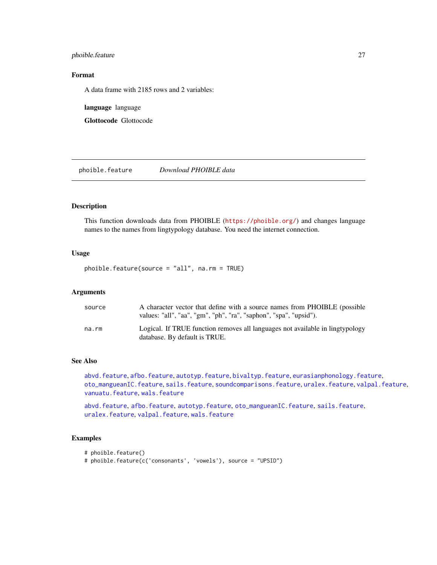#### <span id="page-26-0"></span>phoible.feature 27

# Format

A data frame with 2185 rows and 2 variables:

language language

Glottocode Glottocode

<span id="page-26-1"></span>phoible.feature *Download PHOIBLE data*

# Description

This function downloads data from PHOIBLE (<https://phoible.org/>) and changes language names to the names from lingtypology database. You need the internet connection.

#### Usage

phoible.feature(source = "all", na.rm = TRUE)

#### Arguments

| source | A character vector that define with a source names from PHOIBLE (possible                                      |
|--------|----------------------------------------------------------------------------------------------------------------|
|        | values: "all", "aa", "gm", "ph", "ra", "saphon", "spa", "upsid").                                              |
| na.rm  | Logical. If TRUE function removes all languages not available in lingtypology<br>database. By default is TRUE. |

# See Also

[abvd.feature](#page-2-1), [afbo.feature](#page-3-1), [autotyp.feature](#page-6-1), [bivaltyp.feature](#page-7-1), [eurasianphonology.feature](#page-9-1), [oto\\_mangueanIC.feature](#page-25-1), [sails.feature](#page-29-1), [soundcomparisons.feature](#page-30-1), [uralex.feature](#page-31-1), [valpal.feature](#page-32-1), [vanuatu.feature](#page-33-1), [wals.feature](#page-34-1)

[abvd.feature](#page-2-1), [afbo.feature](#page-3-1), [autotyp.feature](#page-6-1), [oto\\_mangueanIC.feature](#page-25-1), [sails.feature](#page-29-1), [uralex.feature](#page-31-1), [valpal.feature](#page-32-1), [wals.feature](#page-34-1)

# Examples

```
# phoible.feature()
```
# phoible.feature(c('consonants', 'vowels'), source = "UPSID")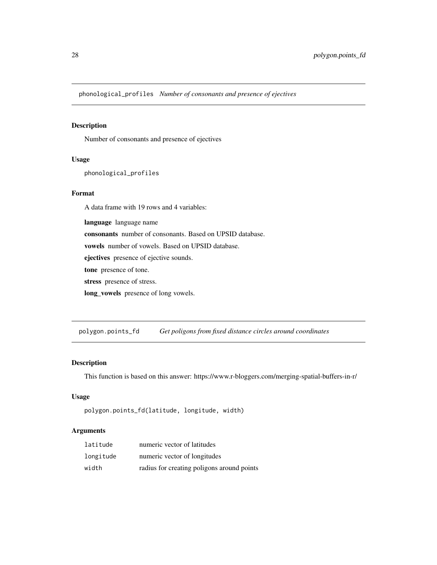<span id="page-27-0"></span>phonological\_profiles *Number of consonants and presence of ejectives*

# Description

Number of consonants and presence of ejectives

#### Usage

phonological\_profiles

#### Format

A data frame with 19 rows and 4 variables:

language language name

consonants number of consonants. Based on UPSID database.

vowels number of vowels. Based on UPSID database.

ejectives presence of ejective sounds.

tone presence of tone.

stress presence of stress.

long\_vowels presence of long vowels.

polygon.points\_fd *Get poligons from fixed distance circles around coordinates*

#### Description

This function is based on this answer: https://www.r-bloggers.com/merging-spatial-buffers-in-r/

# Usage

```
polygon.points_fd(latitude, longitude, width)
```
#### Arguments

| latitude  | numeric vector of latitudes                |
|-----------|--------------------------------------------|
| longitude | numeric vector of longitudes               |
| width     | radius for creating poligons around points |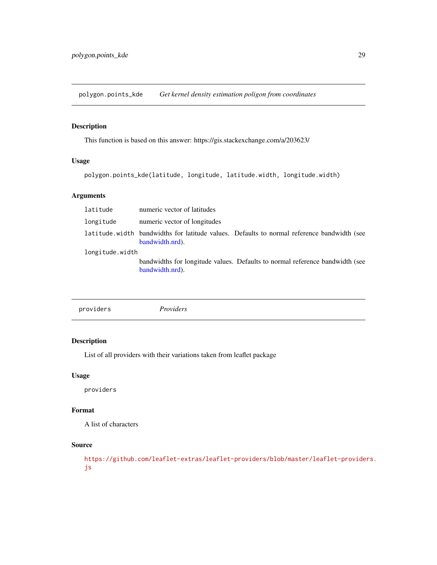<span id="page-28-0"></span>polygon.points\_kde *Get kernel density estimation poligon from coordinates*

# Description

This function is based on this answer: https://gis.stackexchange.com/a/203623/

# Usage

polygon.points\_kde(latitude, longitude, latitude.width, longitude.width)

# Arguments

| latitude        | numeric vector of latitudes                                                                                   |  |
|-----------------|---------------------------------------------------------------------------------------------------------------|--|
| longitude       | numeric vector of longitudes                                                                                  |  |
|                 | latitude width bandwidths for latitude values. Defaults to normal reference bandwidth (see<br>bandwidth.nrd). |  |
| longitude.width |                                                                                                               |  |
|                 | bandwidths for longitude values. Defaults to normal reference bandwidth (see<br>bandwidth.nrd).               |  |

|--|

# Description

List of all providers with their variations taken from leaflet package

# Usage

providers

# Format

A list of characters

# Source

[https://github.com/leaflet-extras/leaflet-providers/blob/master/leaflet-provide](https://github.com/leaflet-extras/leaflet-providers/blob/master/leaflet-providers.js)rs. [js](https://github.com/leaflet-extras/leaflet-providers/blob/master/leaflet-providers.js)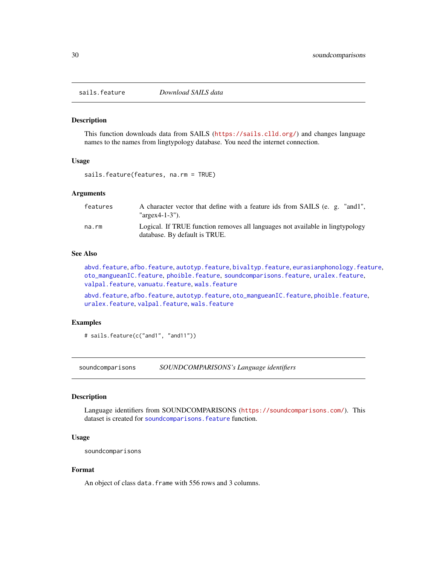<span id="page-29-1"></span><span id="page-29-0"></span>

This function downloads data from SAILS (<https://sails.clld.org/>) and changes language names to the names from lingtypology database. You need the internet connection.

#### Usage

sails.feature(features, na.rm = TRUE)

#### Arguments

| features | A character vector that define with a feature ids from SAILS (e. g. "and1",<br>" $\arg\exp(-1.3$ ").           |
|----------|----------------------------------------------------------------------------------------------------------------|
| na.rm    | Logical. If TRUE function removes all languages not available in lingtypology<br>database. By default is TRUE. |

#### See Also

[abvd.feature](#page-2-1), [afbo.feature](#page-3-1), [autotyp.feature](#page-6-1), [bivaltyp.feature](#page-7-1), [eurasianphonology.feature](#page-9-1), [oto\\_mangueanIC.feature](#page-25-1), [phoible.feature](#page-26-1), [soundcomparisons.feature](#page-30-1), [uralex.feature](#page-31-1), [valpal.feature](#page-32-1), [vanuatu.feature](#page-33-1), [wals.feature](#page-34-1)

[abvd.feature](#page-2-1), [afbo.feature](#page-3-1), [autotyp.feature](#page-6-1), [oto\\_mangueanIC.feature](#page-25-1), [phoible.feature](#page-26-1), [uralex.feature](#page-31-1), [valpal.feature](#page-32-1), [wals.feature](#page-34-1)

# Examples

# sails.feature(c("and1", "and11"))

soundcomparisons *SOUNDCOMPARISONS's Language identifiers*

# Description

Language identifiers from SOUNDCOMPARISONS (<https://soundcomparisons.com/>). This dataset is created for soundcomparisons. feature function.

#### Usage

soundcomparisons

# Format

An object of class data. frame with 556 rows and 3 columns.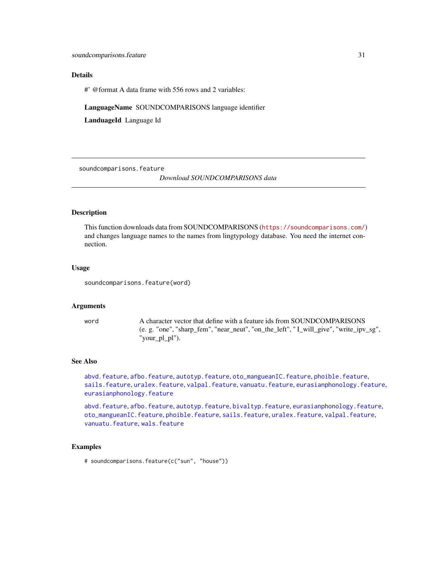#### <span id="page-30-0"></span>Details

#' @format A data frame with 556 rows and 2 variables:

LanguageName SOUNDCOMPARISONS language identifier

LanduageId Language Id

<span id="page-30-1"></span>soundcomparisons.feature

*Download SOUNDCOMPARISONS data*

#### Description

This function downloads data from SOUNDCOMPARISONS (<https://soundcomparisons.com/>) and changes language names to the names from lingtypology database. You need the internet connection.

#### Usage

soundcomparisons.feature(word)

#### Arguments

word A character vector that define with a feature ids from SOUNDCOMPARISONS (e. g. "one", "sharp\_fem", "near\_neut", "on\_the\_left", " I\_will\_give", "write\_ipv\_sg", "your\_pl\_pl").

#### See Also

[abvd.feature](#page-2-1), [afbo.feature](#page-3-1), [autotyp.feature](#page-6-1), [oto\\_mangueanIC.feature](#page-25-1), [phoible.feature](#page-26-1), [sails.feature](#page-29-1), [uralex.feature](#page-31-1), [valpal.feature](#page-32-1), [vanuatu.feature](#page-33-1), [eurasianphonology.feature](#page-9-1), [eurasianphonology.feature](#page-9-1)

[abvd.feature](#page-2-1), [afbo.feature](#page-3-1), [autotyp.feature](#page-6-1), [bivaltyp.feature](#page-7-1), [eurasianphonology.feature](#page-9-1), [oto\\_mangueanIC.feature](#page-25-1), [phoible.feature](#page-26-1), [sails.feature](#page-29-1), [uralex.feature](#page-31-1), [valpal.feature](#page-32-1), [vanuatu.feature](#page-33-1), [wals.feature](#page-34-1)

# Examples

# soundcomparisons.feature(c("sun", "house"))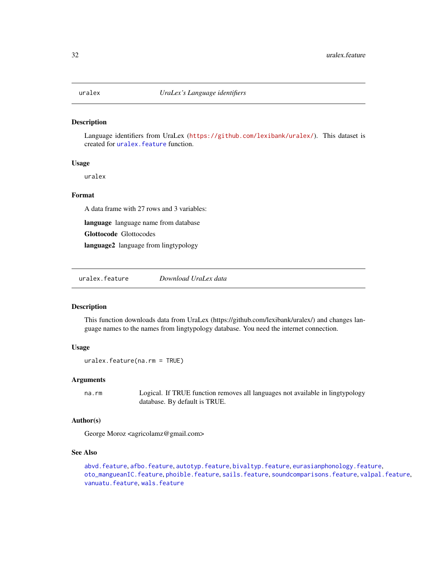<span id="page-31-0"></span>

Language identifiers from UraLex (<https://github.com/lexibank/uralex/>). This dataset is created for [uralex.feature](#page-31-1) function.

#### Usage

uralex

# Format

A data frame with 27 rows and 3 variables:

language language name from database

Glottocode Glottocodes

language2 language from lingtypology

<span id="page-31-1"></span>uralex.feature *Download UraLex data*

#### Description

This function downloads data from UraLex (https://github.com/lexibank/uralex/) and changes language names to the names from lingtypology database. You need the internet connection.

#### Usage

uralex.feature(na.rm = TRUE)

#### Arguments

na.rm Logical. If TRUE function removes all languages not available in lingtypology database. By default is TRUE.

# Author(s)

George Moroz <agricolamz@gmail.com>

#### See Also

[abvd.feature](#page-2-1), [afbo.feature](#page-3-1), [autotyp.feature](#page-6-1), [bivaltyp.feature](#page-7-1), [eurasianphonology.feature](#page-9-1), [oto\\_mangueanIC.feature](#page-25-1), [phoible.feature](#page-26-1), [sails.feature](#page-29-1), [soundcomparisons.feature](#page-30-1), [valpal.feature](#page-32-1), [vanuatu.feature](#page-33-1), [wals.feature](#page-34-1)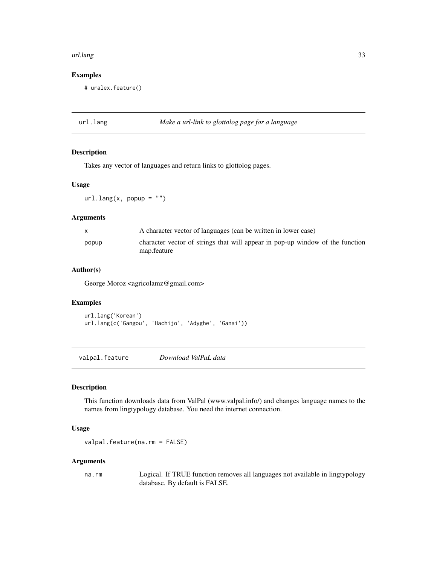#### <span id="page-32-0"></span>url.lang 33

#### Examples

# uralex.feature()

url.lang *Make a url-link to glottolog page for a language*

# Description

Takes any vector of languages and return links to glottolog pages.

#### Usage

 $url.lang(x, popup = "")$ 

#### Arguments

| $\mathbf{x}$ | A character vector of languages (can be written in lower case)                               |
|--------------|----------------------------------------------------------------------------------------------|
| popup        | character vector of strings that will appear in pop-up window of the function<br>map.feature |

# Author(s)

George Moroz <agricolamz@gmail.com>

#### Examples

```
url.lang('Korean')
url.lang(c('Gangou', 'Hachijo', 'Adyghe', 'Ganai'))
```
<span id="page-32-1"></span>valpal.feature *Download ValPaL data*

# Description

This function downloads data from ValPal (www.valpal.info/) and changes language names to the names from lingtypology database. You need the internet connection.

# Usage

```
valpal.feature(na.rm = FALSE)
```
#### Arguments

na.rm Logical. If TRUE function removes all languages not available in lingtypology database. By default is FALSE.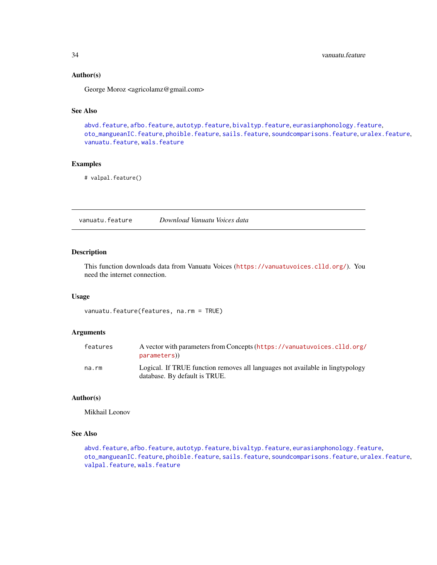#### Author(s)

George Moroz <agricolamz@gmail.com>

## See Also

[abvd.feature](#page-2-1), [afbo.feature](#page-3-1), [autotyp.feature](#page-6-1), [bivaltyp.feature](#page-7-1), [eurasianphonology.feature](#page-9-1), [oto\\_mangueanIC.feature](#page-25-1), [phoible.feature](#page-26-1), [sails.feature](#page-29-1), [soundcomparisons.feature](#page-30-1), [uralex.feature](#page-31-1), [vanuatu.feature](#page-33-1), [wals.feature](#page-34-1)

# Examples

# valpal.feature()

<span id="page-33-1"></span>vanuatu.feature *Download Vanuatu Voices data*

# Description

This function downloads data from Vanuatu Voices (<https://vanuatuvoices.clld.org/>). You need the internet connection.

#### Usage

vanuatu.feature(features, na.rm = TRUE)

#### Arguments

| features | A vector with parameters from Concepts (https://vanuatuvoices.clld.org/<br>parameters)                         |
|----------|----------------------------------------------------------------------------------------------------------------|
| na.rm    | Logical. If TRUE function removes all languages not available in lingtypology<br>database. By default is TRUE. |

# Author(s)

Mikhail Leonov

# See Also

```
abvd.feature, afbo.feature, autotyp.feature, bivaltyp.feature, eurasianphonology.feature,
oto_mangueanIC.feature, phoible.feature, sails.feature, soundcomparisons.feature, uralex.feature,
valpal.feature, wals.feature
```
<span id="page-33-0"></span>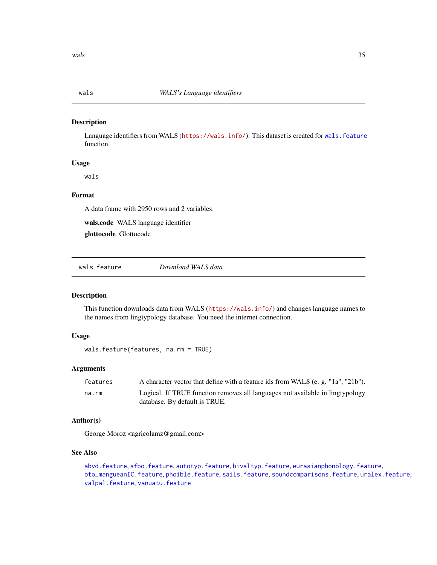<span id="page-34-0"></span>

Language identifiers from WALS (<https://wals.info/>). This dataset is created for [wals.feature](#page-34-1) function.

# Usage

wals

# Format

A data frame with 2950 rows and 2 variables:

wals.code WALS language identifier

glottocode Glottocode

<span id="page-34-1"></span>wals.feature *Download WALS data*

#### Description

This function downloads data from WALS (<https://wals.info/>) and changes language names to the names from lingtypology database. You need the internet connection.

#### Usage

```
wals.feature(features, na.rm = TRUE)
```
# Arguments

| features | A character vector that define with a feature ids from WALS (e.g. "1a", "21b"). |
|----------|---------------------------------------------------------------------------------|
| na.rm    | Logical. If TRUE function removes all languages not available in lingtypology   |
|          | database. By default is TRUE.                                                   |

# Author(s)

George Moroz <agricolamz@gmail.com>

# See Also

[abvd.feature](#page-2-1), [afbo.feature](#page-3-1), [autotyp.feature](#page-6-1), [bivaltyp.feature](#page-7-1), [eurasianphonology.feature](#page-9-1), [oto\\_mangueanIC.feature](#page-25-1), [phoible.feature](#page-26-1), [sails.feature](#page-29-1), [soundcomparisons.feature](#page-30-1), [uralex.feature](#page-31-1), [valpal.feature](#page-32-1), [vanuatu.feature](#page-33-1)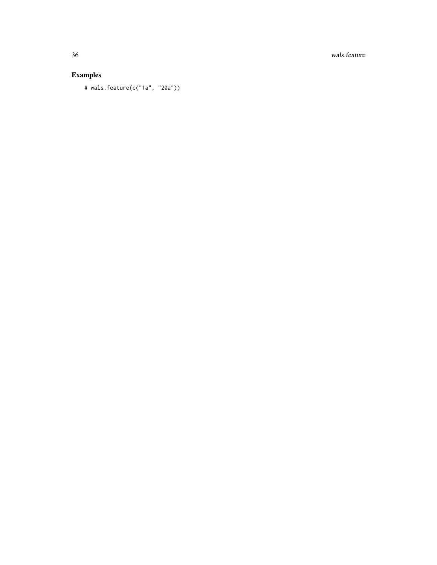36 wals.feature

# Examples

# wals.feature(c("1a", "20a"))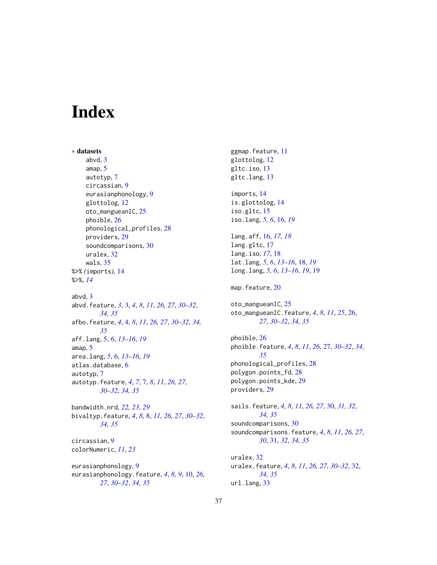# <span id="page-36-0"></span>**Index**

∗ datasets abvd, [3](#page-2-0) amap, [5](#page-4-0) autotyp, [7](#page-6-0) circassian, [9](#page-8-0) eurasianphonology, [9](#page-8-0) glottolog, [12](#page-11-0) oto\_mangueanIC, [25](#page-24-0) phoible, [26](#page-25-0) phonological\_profiles, [28](#page-27-0) providers, [29](#page-28-0) soundcomparisons, [30](#page-29-0) uralex, [32](#page-31-0) wals, [35](#page-34-0) %>% *(*imports*)*, [14](#page-13-0) %>%, *[14](#page-13-0)* abvd, [3](#page-2-0) abvd.feature, *[3](#page-2-0)*, [3,](#page-2-0) *[4](#page-3-0)*, *[8](#page-7-0)*, *[11](#page-10-0)*, *[26,](#page-25-0) [27](#page-26-0)*, *[30–](#page-29-0)[32](#page-31-0)*, *[34,](#page-33-0) [35](#page-34-0)* afbo.feature, *[4](#page-3-0)*, [4,](#page-3-0) *[8](#page-7-0)*, *[11](#page-10-0)*, *[26,](#page-25-0) [27](#page-26-0)*, *[30–](#page-29-0)[32](#page-31-0)*, *[34,](#page-33-0) [35](#page-34-0)* aff.lang, [5,](#page-4-0) *[6](#page-5-0)*, *[13](#page-12-0)[–16](#page-15-0)*, *[19](#page-18-0)* amap, [5](#page-4-0) area.lang, *[5](#page-4-0)*, [6,](#page-5-0) *[13](#page-12-0)[–16](#page-15-0)*, *[19](#page-18-0)* atlas.database, [6](#page-5-0) autotyp, [7](#page-6-0) autotyp.feature, *[4](#page-3-0)*, *[7](#page-6-0)*, [7,](#page-6-0) *[8](#page-7-0)*, *[11](#page-10-0)*, *[26,](#page-25-0) [27](#page-26-0)*, *[30](#page-29-0)[–32](#page-31-0)*, *[34,](#page-33-0) [35](#page-34-0)* bandwidth.nrd, *[22,](#page-21-0) [23](#page-22-0)*, *[29](#page-28-0)* bivaltyp.feature, *[4](#page-3-0)*, *[8](#page-7-0)*, [8,](#page-7-0) *[11](#page-10-0)*, *[26,](#page-25-0) [27](#page-26-0)*, *[30–](#page-29-0)[32](#page-31-0)*, *[34,](#page-33-0) [35](#page-34-0)* circassian, [9](#page-8-0) colorNumeric, *[11](#page-10-0)*, *[23](#page-22-0)* eurasianphonology, [9](#page-8-0) eurasianphonology.feature, *[4](#page-3-0)*, *[8,](#page-7-0) [9](#page-8-0)*, [10,](#page-9-0) *[26,](#page-25-0)*

*[27](#page-26-0)*, *[30](#page-29-0)[–32](#page-31-0)*, *[34,](#page-33-0) [35](#page-34-0)*

ggmap.feature, [11](#page-10-0) glottolog, [12](#page-11-0) gltc.iso, [13](#page-12-0) gltc.lang, [13](#page-12-0) imports, [14](#page-13-0) is.glottolog, [14](#page-13-0) iso.gltc, [15](#page-14-0) iso.lang, *[5,](#page-4-0) [6](#page-5-0)*, [16,](#page-15-0) *[19](#page-18-0)* lang.aff, [16,](#page-15-0) *[17,](#page-16-0) [18](#page-17-0)* lang.gltc, [17](#page-16-0) lang.iso, *[17](#page-16-0)*, [18](#page-17-0) lat.lang, *[5,](#page-4-0) [6](#page-5-0)*, *[13](#page-12-0)[–16](#page-15-0)*, [18,](#page-17-0) *[19](#page-18-0)* long.lang, *[5,](#page-4-0) [6](#page-5-0)*, *[13](#page-12-0)[–16](#page-15-0)*, *[19](#page-18-0)*, [19](#page-18-0) map.feature, [20](#page-19-0) oto\_mangueanIC, [25](#page-24-0) oto\_mangueanIC.feature, *[4](#page-3-0)*, *[8](#page-7-0)*, *[11](#page-10-0)*, *[25](#page-24-0)*, [26,](#page-25-0) *[27](#page-26-0)*, *[30](#page-29-0)[–32](#page-31-0)*, *[34,](#page-33-0) [35](#page-34-0)* phoible, [26](#page-25-0) phoible.feature, *[4](#page-3-0)*, *[8](#page-7-0)*, *[11](#page-10-0)*, *[26](#page-25-0)*, [27,](#page-26-0) *[30](#page-29-0)[–32](#page-31-0)*, *[34,](#page-33-0) [35](#page-34-0)* phonological\_profiles, [28](#page-27-0) polygon.points\_fd, [28](#page-27-0) polygon.points\_kde, [29](#page-28-0) providers, [29](#page-28-0) sails.feature, *[4](#page-3-0)*, *[8](#page-7-0)*, *[11](#page-10-0)*, *[26,](#page-25-0) [27](#page-26-0)*, [30,](#page-29-0) *[31,](#page-30-0) [32](#page-31-0)*, *[34,](#page-33-0) [35](#page-34-0)* soundcomparisons, [30](#page-29-0) soundcomparisons.feature, *[4](#page-3-0)*, *[8](#page-7-0)*, *[11](#page-10-0)*, *[26,](#page-25-0) [27](#page-26-0)*, *[30](#page-29-0)*, [31,](#page-30-0) *[32](#page-31-0)*, *[34,](#page-33-0) [35](#page-34-0)* uralex, [32](#page-31-0) uralex.feature, *[4](#page-3-0)*, *[8](#page-7-0)*, *[11](#page-10-0)*, *[26,](#page-25-0) [27](#page-26-0)*, *[30](#page-29-0)[–32](#page-31-0)*, [32,](#page-31-0) *[34,](#page-33-0) [35](#page-34-0)* url.lang, [33](#page-32-0)